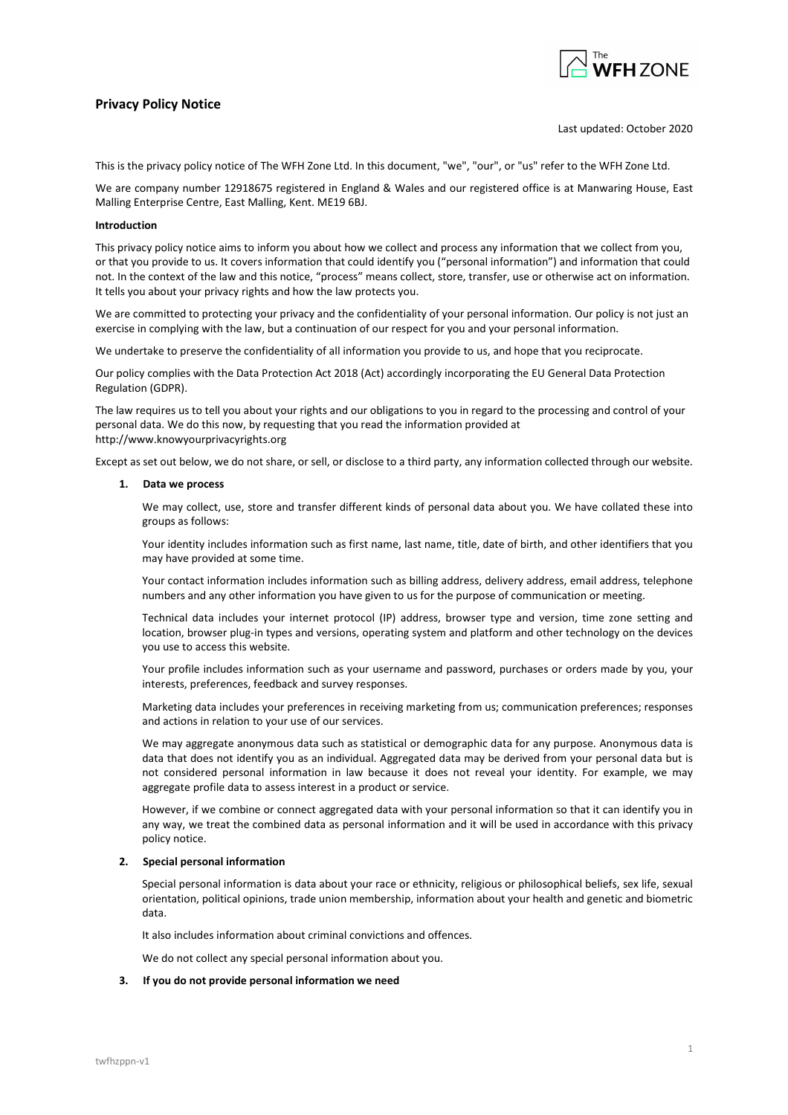# Privacy Policy Notice



# Last updated: October 2020

This is the privacy policy notice of The WFH Zone Ltd. In this document, "we", "our", or "us" refer to the WFH Zone Ltd.

We are company number 12918675 registered in England & Wales and our registered office is at Manwaring House, East Malling Enterprise Centre, East Malling, Kent. ME19 6BJ.

# Introduction

This privacy policy notice aims to inform you about how we collect and process any information that we collect from you, or that you provide to us. It covers information that could identify you ("personal information") and information that could not. In the context of the law and this notice, "process" means collect, store, transfer, use or otherwise act on information. It tells you about your privacy rights and how the law protects you.

We are committed to protecting your privacy and the confidentiality of your personal information. Our policy is not just an exercise in complying with the law, but a continuation of our respect for you and your personal information.

We undertake to preserve the confidentiality of all information you provide to us, and hope that you reciprocate.

Our policy complies with the Data Protection Act 2018 (Act) accordingly incorporating the EU General Data Protection Regulation (GDPR).

The law requires us to tell you about your rights and our obligations to you in regard to the processing and control of your personal data. We do this now, by requesting that you read the information provided at http://www.knowyourprivacyrights.org

Except as set out below, we do not share, or sell, or disclose to a third party, any information collected through our website.

# 1. Data we process

We may collect, use, store and transfer different kinds of personal data about you. We have collated these into groups as follows:

Your identity includes information such as first name, last name, title, date of birth, and other identifiers that you may have provided at some time.

Your contact information includes information such as billing address, delivery address, email address, telephone numbers and any other information you have given to us for the purpose of communication or meeting.

Technical data includes your internet protocol (IP) address, browser type and version, time zone setting and location, browser plug-in types and versions, operating system and platform and other technology on the devices you use to access this website.

Your profile includes information such as your username and password, purchases or orders made by you, your interests, preferences, feedback and survey responses.

Marketing data includes your preferences in receiving marketing from us; communication preferences; responses and actions in relation to your use of our services.

We may aggregate anonymous data such as statistical or demographic data for any purpose. Anonymous data is data that does not identify you as an individual. Aggregated data may be derived from your personal data but is not considered personal information in law because it does not reveal your identity. For example, we may aggregate profile data to assess interest in a product or service.

However, if we combine or connect aggregated data with your personal information so that it can identify you in any way, we treat the combined data as personal information and it will be used in accordance with this privacy policy notice.

# 2. Special personal information

Special personal information is data about your race or ethnicity, religious or philosophical beliefs, sex life, sexual orientation, political opinions, trade union membership, information about your health and genetic and biometric data.

It also includes information about criminal convictions and offences.

We do not collect any special personal information about you.

# 3. If you do not provide personal information we need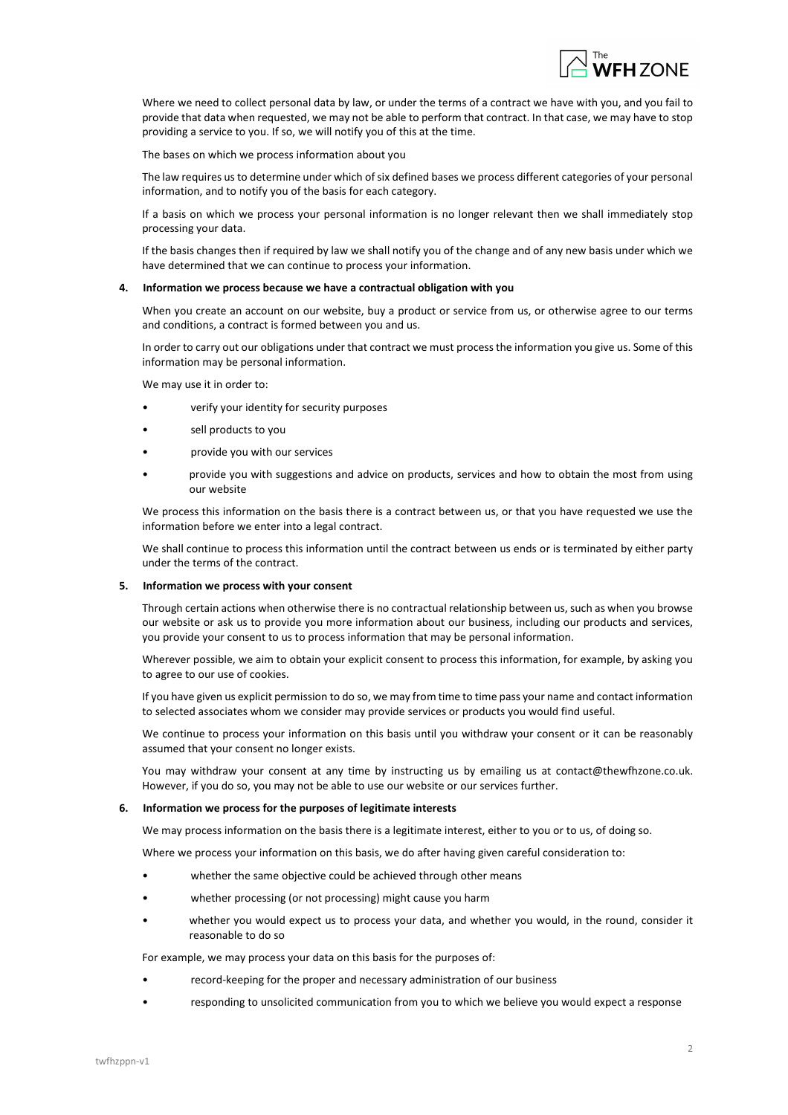

Where we need to collect personal data by law, or under the terms of a contract we have with you, and you fail to provide that data when requested, we may not be able to perform that contract. In that case, we may have to stop providing a service to you. If so, we will notify you of this at the time.

The bases on which we process information about you

The law requires us to determine under which of six defined bases we process different categories of your personal information, and to notify you of the basis for each category.

If a basis on which we process your personal information is no longer relevant then we shall immediately stop processing your data.

If the basis changes then if required by law we shall notify you of the change and of any new basis under which we have determined that we can continue to process your information.

### 4. Information we process because we have a contractual obligation with you

When you create an account on our website, buy a product or service from us, or otherwise agree to our terms and conditions, a contract is formed between you and us.

In order to carry out our obligations under that contract we must process the information you give us. Some of this information may be personal information.

We may use it in order to:

- verify your identity for security purposes
- sell products to you
- provide you with our services
- provide you with suggestions and advice on products, services and how to obtain the most from using our website

We process this information on the basis there is a contract between us, or that you have requested we use the information before we enter into a legal contract.

We shall continue to process this information until the contract between us ends or is terminated by either party under the terms of the contract.

#### 5. Information we process with your consent

Through certain actions when otherwise there is no contractual relationship between us, such as when you browse our website or ask us to provide you more information about our business, including our products and services, you provide your consent to us to process information that may be personal information.

Wherever possible, we aim to obtain your explicit consent to process this information, for example, by asking you to agree to our use of cookies.

If you have given us explicit permission to do so, we may from time to time pass your name and contact information to selected associates whom we consider may provide services or products you would find useful.

We continue to process your information on this basis until you withdraw your consent or it can be reasonably assumed that your consent no longer exists.

You may withdraw your consent at any time by instructing us by emailing us at contact@thewfhzone.co.uk. However, if you do so, you may not be able to use our website or our services further.

### 6. Information we process for the purposes of legitimate interests

We may process information on the basis there is a legitimate interest, either to you or to us, of doing so.

Where we process your information on this basis, we do after having given careful consideration to:

- whether the same objective could be achieved through other means
- whether processing (or not processing) might cause you harm
- whether you would expect us to process your data, and whether you would, in the round, consider it reasonable to do so

For example, we may process your data on this basis for the purposes of:

- record-keeping for the proper and necessary administration of our business
- responding to unsolicited communication from you to which we believe you would expect a response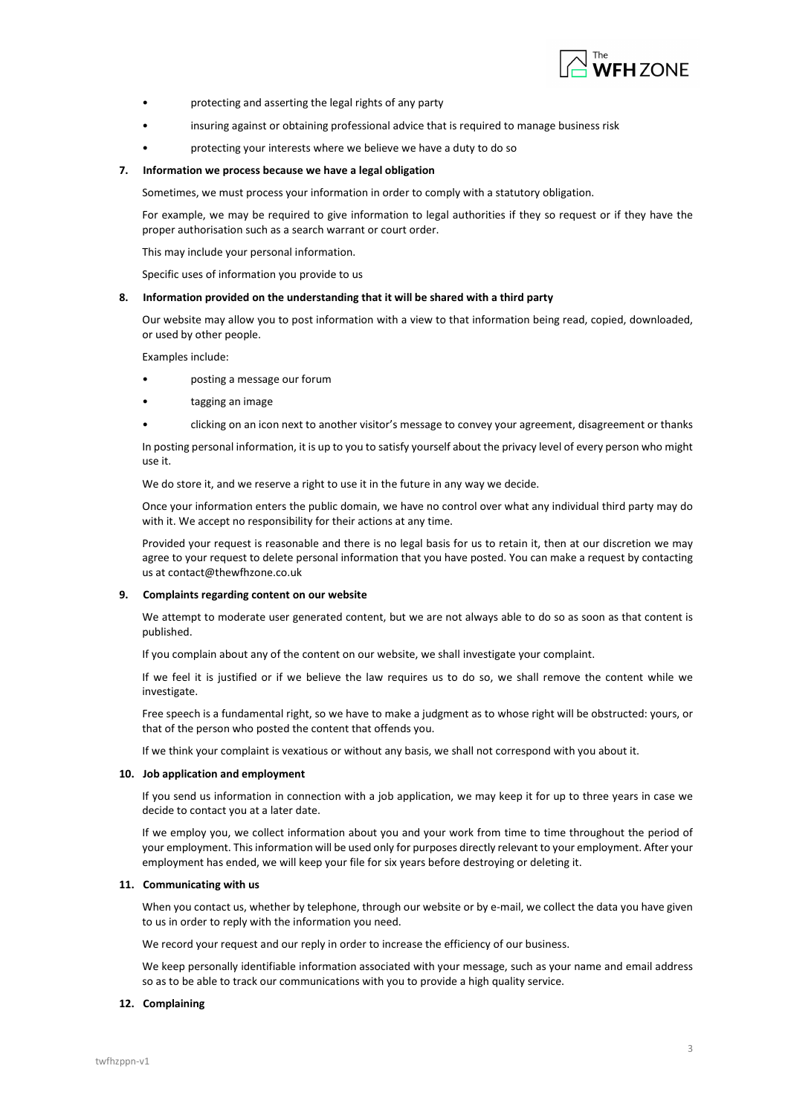

- protecting and asserting the legal rights of any party
- insuring against or obtaining professional advice that is required to manage business risk
- protecting your interests where we believe we have a duty to do so

# 7. Information we process because we have a legal obligation

Sometimes, we must process your information in order to comply with a statutory obligation.

For example, we may be required to give information to legal authorities if they so request or if they have the proper authorisation such as a search warrant or court order.

This may include your personal information.

Specific uses of information you provide to us

# 8. Information provided on the understanding that it will be shared with a third party

Our website may allow you to post information with a view to that information being read, copied, downloaded, or used by other people.

Examples include:

- posting a message our forum
- tagging an image
- clicking on an icon next to another visitor's message to convey your agreement, disagreement or thanks

In posting personal information, it is up to you to satisfy yourself about the privacy level of every person who might use it.

We do store it, and we reserve a right to use it in the future in any way we decide.

Once your information enters the public domain, we have no control over what any individual third party may do with it. We accept no responsibility for their actions at any time.

Provided your request is reasonable and there is no legal basis for us to retain it, then at our discretion we may agree to your request to delete personal information that you have posted. You can make a request by contacting us at contact@thewfhzone.co.uk

# 9. Complaints regarding content on our website

We attempt to moderate user generated content, but we are not always able to do so as soon as that content is published.

If you complain about any of the content on our website, we shall investigate your complaint.

If we feel it is justified or if we believe the law requires us to do so, we shall remove the content while we investigate.

Free speech is a fundamental right, so we have to make a judgment as to whose right will be obstructed: yours, or that of the person who posted the content that offends you.

If we think your complaint is vexatious or without any basis, we shall not correspond with you about it.

# 10. Job application and employment

If you send us information in connection with a job application, we may keep it for up to three years in case we decide to contact you at a later date.

If we employ you, we collect information about you and your work from time to time throughout the period of your employment. This information will be used only for purposes directly relevant to your employment. After your employment has ended, we will keep your file for six years before destroying or deleting it.

# 11. Communicating with us

When you contact us, whether by telephone, through our website or by e-mail, we collect the data you have given to us in order to reply with the information you need.

We record your request and our reply in order to increase the efficiency of our business.

We keep personally identifiable information associated with your message, such as your name and email address so as to be able to track our communications with you to provide a high quality service.

# 12. Complaining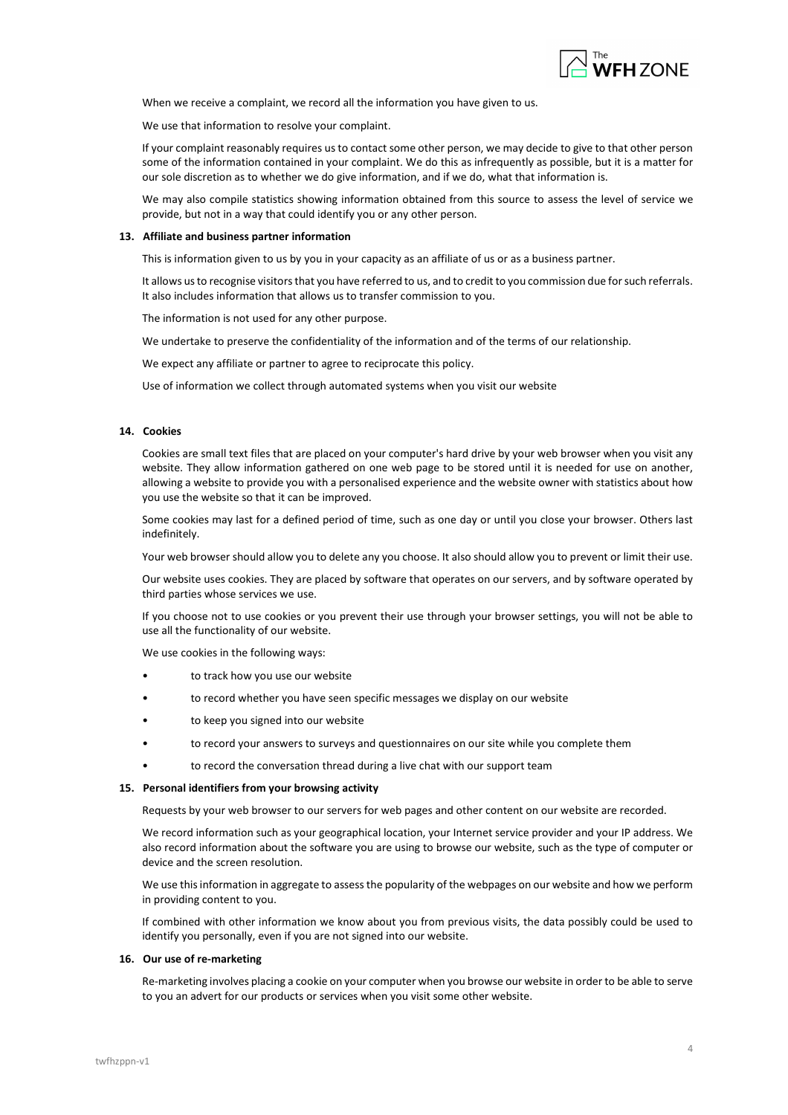

When we receive a complaint, we record all the information you have given to us.

We use that information to resolve your complaint.

If your complaint reasonably requires us to contact some other person, we may decide to give to that other person some of the information contained in your complaint. We do this as infrequently as possible, but it is a matter for our sole discretion as to whether we do give information, and if we do, what that information is.

We may also compile statistics showing information obtained from this source to assess the level of service we provide, but not in a way that could identify you or any other person.

## 13. Affiliate and business partner information

This is information given to us by you in your capacity as an affiliate of us or as a business partner.

It allows us to recognise visitors that you have referred to us, and to credit to you commission due for such referrals. It also includes information that allows us to transfer commission to you.

The information is not used for any other purpose.

We undertake to preserve the confidentiality of the information and of the terms of our relationship.

We expect any affiliate or partner to agree to reciprocate this policy.

Use of information we collect through automated systems when you visit our website

# 14. Cookies

Cookies are small text files that are placed on your computer's hard drive by your web browser when you visit any website. They allow information gathered on one web page to be stored until it is needed for use on another, allowing a website to provide you with a personalised experience and the website owner with statistics about how you use the website so that it can be improved.

Some cookies may last for a defined period of time, such as one day or until you close your browser. Others last indefinitely.

Your web browser should allow you to delete any you choose. It also should allow you to prevent or limit their use.

Our website uses cookies. They are placed by software that operates on our servers, and by software operated by third parties whose services we use.

If you choose not to use cookies or you prevent their use through your browser settings, you will not be able to use all the functionality of our website.

We use cookies in the following ways:

- to track how you use our website
- to record whether you have seen specific messages we display on our website
- to keep you signed into our website
- to record your answers to surveys and questionnaires on our site while you complete them
- to record the conversation thread during a live chat with our support team

## 15. Personal identifiers from your browsing activity

Requests by your web browser to our servers for web pages and other content on our website are recorded.

We record information such as your geographical location, your Internet service provider and your IP address. We also record information about the software you are using to browse our website, such as the type of computer or device and the screen resolution.

We use this information in aggregate to assess the popularity of the webpages on our website and how we perform in providing content to you.

If combined with other information we know about you from previous visits, the data possibly could be used to identify you personally, even if you are not signed into our website.

## 16. Our use of re-marketing

Re-marketing involves placing a cookie on your computer when you browse our website in order to be able to serve to you an advert for our products or services when you visit some other website.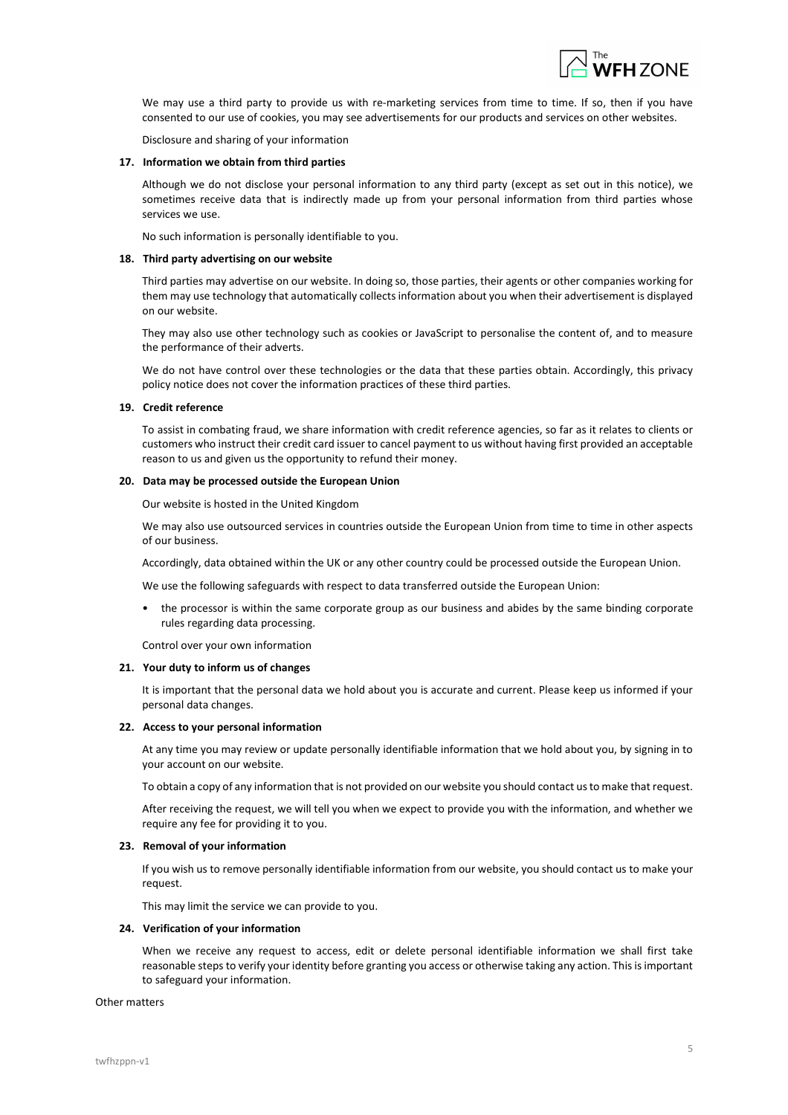

We may use a third party to provide us with re-marketing services from time to time. If so, then if you have consented to our use of cookies, you may see advertisements for our products and services on other websites.

Disclosure and sharing of your information

### 17. Information we obtain from third parties

Although we do not disclose your personal information to any third party (except as set out in this notice), we sometimes receive data that is indirectly made up from your personal information from third parties whose services we use.

No such information is personally identifiable to you.

### 18. Third party advertising on our website

Third parties may advertise on our website. In doing so, those parties, their agents or other companies working for them may use technology that automatically collects information about you when their advertisement is displayed on our website.

They may also use other technology such as cookies or JavaScript to personalise the content of, and to measure the performance of their adverts.

We do not have control over these technologies or the data that these parties obtain. Accordingly, this privacy policy notice does not cover the information practices of these third parties.

## 19. Credit reference

To assist in combating fraud, we share information with credit reference agencies, so far as it relates to clients or customers who instruct their credit card issuer to cancel payment to us without having first provided an acceptable reason to us and given us the opportunity to refund their money.

## 20. Data may be processed outside the European Union

Our website is hosted in the United Kingdom

We may also use outsourced services in countries outside the European Union from time to time in other aspects of our business.

Accordingly, data obtained within the UK or any other country could be processed outside the European Union.

We use the following safeguards with respect to data transferred outside the European Union:

• the processor is within the same corporate group as our business and abides by the same binding corporate rules regarding data processing.

Control over your own information

## 21. Your duty to inform us of changes

It is important that the personal data we hold about you is accurate and current. Please keep us informed if your personal data changes.

#### 22. Access to your personal information

At any time you may review or update personally identifiable information that we hold about you, by signing in to your account on our website.

To obtain a copy of any information that is not provided on our website you should contact us to make that request.

After receiving the request, we will tell you when we expect to provide you with the information, and whether we require any fee for providing it to you.

# 23. Removal of your information

If you wish us to remove personally identifiable information from our website, you should contact us to make your request.

This may limit the service we can provide to you.

### 24. Verification of your information

When we receive any request to access, edit or delete personal identifiable information we shall first take reasonable steps to verify your identity before granting you access or otherwise taking any action. This is important to safeguard your information.

#### Other matters